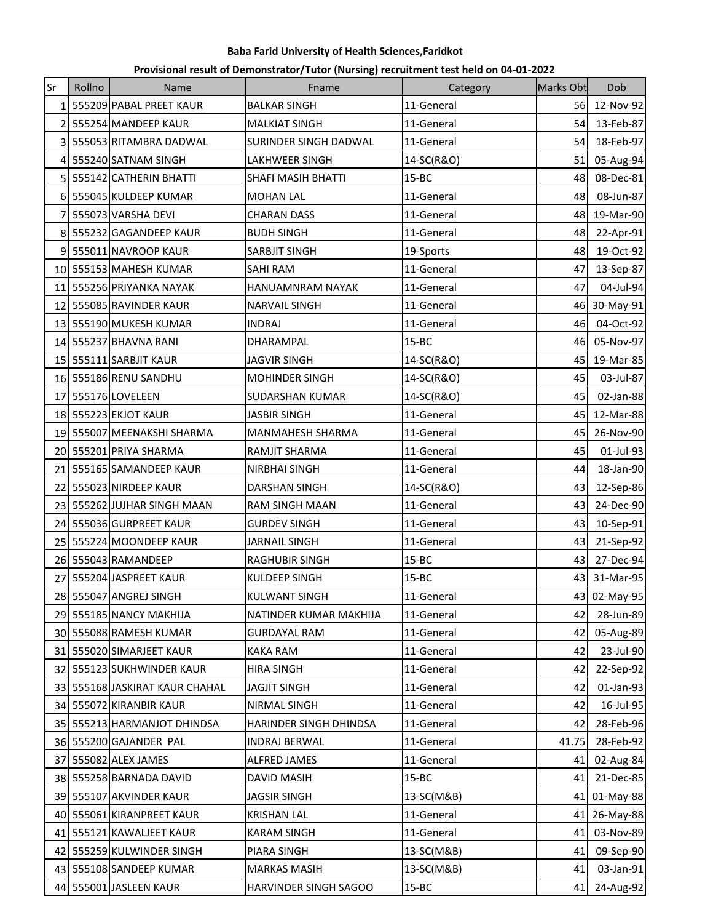| Provisional result of Demonstrator/Tutor (Nursing) recruitment test held on 04-01-2022 |  |  |
|----------------------------------------------------------------------------------------|--|--|
|----------------------------------------------------------------------------------------|--|--|

| Sr              | Rollno | Name                           | Fname                  | Category   | Marks Obt | Dob          |
|-----------------|--------|--------------------------------|------------------------|------------|-----------|--------------|
|                 |        | 1 555209 PABAL PREET KAUR      | <b>BALKAR SINGH</b>    | 11-General | 56        | 12-Nov-92    |
| 21              |        | 555254 MANDEEP KAUR            | <b>MALKIAT SINGH</b>   | 11-General | 54        | 13-Feb-87    |
| $\overline{3}$  |        | 555053 RITAMBRA DADWAL         | SURINDER SINGH DADWAL  | 11-General | 54        | 18-Feb-97    |
| 4               |        | 555240 SATNAM SINGH            | LAKHWEER SINGH         | 14-SC(R&O) | 51        | 05-Aug-94    |
|                 |        | 5 555142 CATHERIN BHATTI       | SHAFI MASIH BHATTI     | $15 - BC$  | 48        | 08-Dec-81    |
|                 |        | 6 555045 KULDEEP KUMAR         | <b>MOHAN LAL</b>       | 11-General | 48        | 08-Jun-87    |
| 7               |        | 555073 VARSHA DEVI             | <b>CHARAN DASS</b>     | 11-General | 48        | 19-Mar-90    |
|                 |        | 8 555232 GAGANDEEP KAUR        | <b>BUDH SINGH</b>      | 11-General | 48        | 22-Apr-91    |
|                 |        | 555011 NAVROOP KAUR            | SARBJIT SINGH          | 19-Sports  | 48        | 19-Oct-92    |
|                 |        | 10 555153 MAHESH KUMAR         | <b>SAHI RAM</b>        | 11-General | 47        | 13-Sep-87    |
|                 |        | 11 555256 PRIYANKA NAYAK       | HANUAMNRAM NAYAK       | 11-General | 47        | 04-Jul-94    |
|                 |        | 12 555085 RAVINDER KAUR        | <b>NARVAIL SINGH</b>   | 11-General |           | 46 30-May-91 |
|                 |        | 13 555190 MUKESH KUMAR         | <b>INDRAJ</b>          | 11-General | 46        | 04-Oct-92    |
| 14 <sup>1</sup> |        | 555237 BHAVNA RANI             | DHARAMPAL              | $15 - BC$  | 46        | 05-Nov-97    |
|                 |        | 15 555111 SARBJIT KAUR         | <b>JAGVIR SINGH</b>    | 14-SC(R&O) | 45        | 19-Mar-85    |
|                 |        | 16 555186 RENU SANDHU          | <b>MOHINDER SINGH</b>  | 14-SC(R&O) | 45        | 03-Jul-87    |
| 17              |        | 555176 LOVELEEN                | <b>SUDARSHAN KUMAR</b> | 14-SC(R&O) | 45        | 02-Jan-88    |
|                 |        | 18 555223 EKJOT KAUR           | <b>JASBIR SINGH</b>    | 11-General | 45        | 12-Mar-88    |
| 19              |        | 555007 MEENAKSHI SHARMA        | MANMAHESH SHARMA       | 11-General | 45        | 26-Nov-90    |
|                 |        | 20 555201 PRIYA SHARMA         | RAMJIT SHARMA          | 11-General | 45        | 01-Jul-93    |
|                 |        | 21 555165 SAMANDEEP KAUR       | <b>NIRBHAI SINGH</b>   | 11-General | 44        | 18-Jan-90    |
|                 |        | 22 555023 NIRDEEP KAUR         | <b>DARSHAN SINGH</b>   | 14-SC(R&O) | 43        | 12-Sep-86    |
|                 |        | 23 555262 JUJHAR SINGH MAAN    | RAM SINGH MAAN         | 11-General | 43        | 24-Dec-90    |
| 241             |        | 555036 GURPREET KAUR           | <b>GURDEV SINGH</b>    | 11-General | 43        | 10-Sep-91    |
|                 |        | 25 555224 MOONDEEP KAUR        | <b>JARNAIL SINGH</b>   | 11-General | 43        | 21-Sep-92    |
|                 |        | 26 555043 RAMANDEEP            | RAGHUBIR SINGH         | $15 - BC$  | 43        | 27-Dec-94    |
| 27              |        | 555204 JASPREET KAUR           | <b>KULDEEP SINGH</b>   | $15 - BC$  | 43        | 31-Mar-95    |
|                 |        | 28 555047 ANGREJ SINGH         | KULWANT SINGH          | 11-General |           | 43 02-May-95 |
|                 |        | 29 555185 NANCY MAKHIJA        | NATINDER KUMAR MAKHIJA | 11-General | 421       | 28-Jun-89    |
|                 |        | 30 555088 RAMESH KUMAR         | <b>GURDAYAL RAM</b>    | 11-General |           | 42 05-Aug-89 |
|                 |        | 31 555020 SIMARJEET KAUR       | <b>KAKA RAM</b>        | 11-General | 42        | 23-Jul-90    |
|                 |        | 32 555123 SUKHWINDER KAUR      | <b>HIRA SINGH</b>      | 11-General | 42        | 22-Sep-92    |
|                 |        | 33 555168 JASKIRAT KAUR CHAHAL | <b>JAGJIT SINGH</b>    | 11-General | 42        | 01-Jan-93    |
|                 |        | 34 555072 KIRANBIR KAUR        | NIRMAL SINGH           | 11-General | 42        | 16-Jul-95    |
|                 |        | 35 555213 HARMANJOT DHINDSA    | HARINDER SINGH DHINDSA | 11-General | 42        | 28-Feb-96    |
|                 |        | 36 555200 GAJANDER PAL         | <b>INDRAJ BERWAL</b>   | 11-General | 41.75     | 28-Feb-92    |
|                 |        | 37 555082 ALEX JAMES           | ALFRED JAMES           | 11-General | 41        | 02-Aug-84    |
|                 |        | 38 555258 BARNADA DAVID        | <b>DAVID MASIH</b>     | $15 - BC$  |           | 41 21-Dec-85 |
|                 |        | 39 555107 AKVINDER KAUR        | <b>JAGSIR SINGH</b>    | 13-SC(M&B) |           | 41 01-May-88 |
|                 |        | 40 555061 KIRANPREET KAUR      | <b>KRISHAN LAL</b>     | 11-General |           | 41 26-May-88 |
|                 |        | 41 555121 KAWALJEET KAUR       | <b>KARAM SINGH</b>     | 11-General |           | 41 03-Nov-89 |
|                 |        | 42 555259 KULWINDER SINGH      | PIARA SINGH            | 13-SC(M&B) | 41        | 09-Sep-90    |
|                 |        | 43 555108 SANDEEP KUMAR        | <b>MARKAS MASIH</b>    | 13-SC(M&B) | 41        | 03-Jan-91    |
|                 |        | 44 555001 JASLEEN KAUR         | HARVINDER SINGH SAGOO  | $15 - BC$  | 41        | 24-Aug-92    |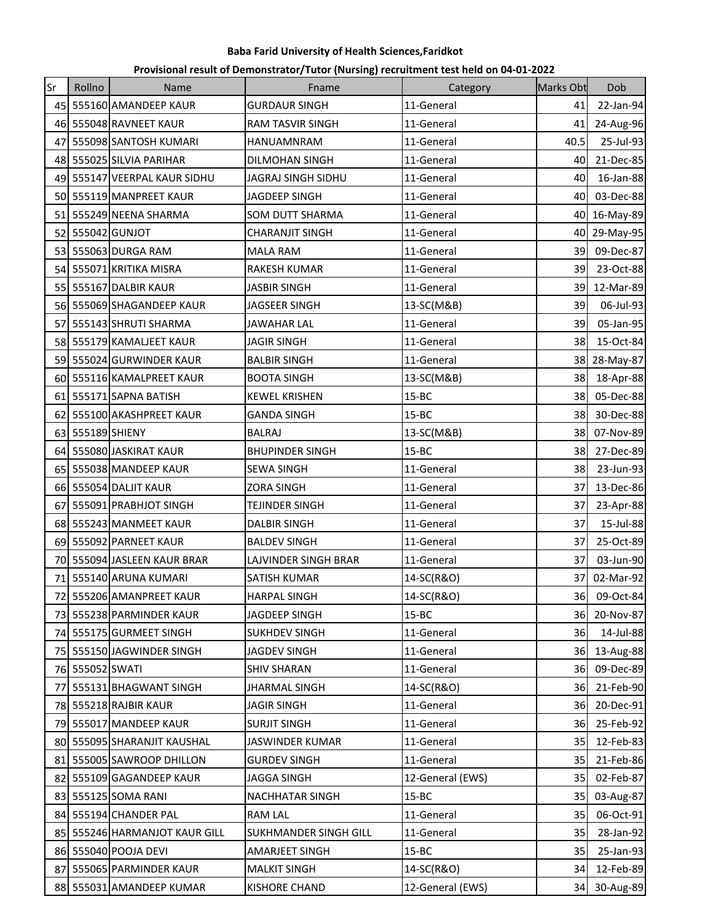| Provisional result of Demonstrator/Tutor (Nursing) recruitment test held on 04-01-2022 |  |  |
|----------------------------------------------------------------------------------------|--|--|
|----------------------------------------------------------------------------------------|--|--|

| Sr              | Rollno          | <b>Name</b>                   | Fname                        | Category         | <b>Marks Obt</b> | Dob          |
|-----------------|-----------------|-------------------------------|------------------------------|------------------|------------------|--------------|
|                 |                 | 45 555160 AMANDEEP KAUR       | <b>GURDAUR SINGH</b>         | 11-General       | 41               | 22-Jan-94    |
|                 |                 | 46 555048 RAVNEET KAUR        | <b>RAM TASVIR SINGH</b>      | 11-General       | 41               | 24-Aug-96    |
| 47              |                 | 555098 SANTOSH KUMARI         | HANUAMNRAM                   | 11-General       | 40.5             | 25-Jul-93    |
| 48              |                 | 555025 SILVIA PARIHAR         | DILMOHAN SINGH               | 11-General       | 40               | 21-Dec-85    |
|                 |                 | 49 555147 VEERPAL KAUR SIDHU  | JAGRAJ SINGH SIDHU           | 11-General       | 40               | 16-Jan-88    |
|                 |                 | 50 555119 MANPREET KAUR       | <b>JAGDEEP SINGH</b>         | 11-General       | 40               | 03-Dec-88    |
|                 |                 | 51 555249 NEENA SHARMA        | SOM DUTT SHARMA              | 11-General       | 40               | 16-May-89    |
| 52 <sub>l</sub> |                 | 555042 GUNJOT                 | <b>CHARANJIT SINGH</b>       | 11-General       | 40               | 29-May-95    |
| 53 I            |                 | 555063 DURGA RAM              | <b>MALA RAM</b>              | 11-General       | 39               | 09-Dec-87    |
|                 |                 | 54 555071 KRITIKA MISRA       | RAKESH KUMAR                 | 11-General       | 39               | 23-Oct-88    |
|                 |                 | 55 555167 DALBIR KAUR         | <b>JASBIR SINGH</b>          | 11-General       | 39               | 12-Mar-89    |
|                 |                 | 56 555069 SHAGANDEEP KAUR     | <b>JAGSEER SINGH</b>         | 13-SC(M&B)       | 39               | 06-Jul-93    |
| 57              |                 | 555143 SHRUTI SHARMA          | <b>JAWAHAR LAL</b>           | 11-General       | 39               | 05-Jan-95    |
| 581             |                 | 555179 KAMALJEET KAUR         | <b>JAGIR SINGH</b>           | 11-General       | 38               | 15-Oct-84    |
|                 |                 | 59 555024 GURWINDER KAUR      | <b>BALBIR SINGH</b>          | 11-General       | 38               | 28-May-87    |
|                 |                 | 60 555116 KAMALPREET KAUR     | <b>BOOTA SINGH</b>           | 13-SC(M&B)       | 38               | 18-Apr-88    |
|                 |                 | 61 555171 SAPNA BATISH        | <b>KEWEL KRISHEN</b>         | $15 - BC$        | 38               | 05-Dec-88    |
| 621             |                 | 555100 AKASHPREET KAUR        | <b>GANDA SINGH</b>           | $15 - BC$        | 38               | 30-Dec-88    |
| 63              | 555189 SHIENY   |                               | <b>BALRAJ</b>                | 13-SC(M&B)       | 38               | 07-Nov-89    |
|                 |                 | 64 555080 JASKIRAT KAUR       | <b>BHUPINDER SINGH</b>       | $15 - BC$        | 38               | 27-Dec-89    |
|                 |                 | 65 555038 MANDEEP KAUR        | <b>SEWA SINGH</b>            | 11-General       | 38               | 23-Jun-93    |
|                 |                 | 66 555054 DALIT KAUR          | <b>ZORA SINGH</b>            | 11-General       | 37               | 13-Dec-86    |
| 67              |                 | 555091 PRABHJOT SINGH         | <b>TEJINDER SINGH</b>        | 11-General       | 37               | 23-Apr-88    |
| 68              |                 | 555243 MANMEET KAUR           | <b>DALBIR SINGH</b>          | 11-General       | 37               | 15-Jul-88    |
|                 |                 | 69 555092 PARNEET KAUR        | <b>BALDEV SINGH</b>          | 11-General       | 37               | 25-Oct-89    |
|                 |                 | 70 555094 JASLEEN KAUR BRAR   | LAJVINDER SINGH BRAR         | 11-General       | 37               | 03-Jun-90    |
|                 |                 | 71 555140 ARUNA KUMARI        | <b>SATISH KUMAR</b>          | 14-SC(R&O)       | 37               | 02-Mar-92    |
|                 |                 | 72 555206 AMANPREET KAUR      | <b>HARPAL SINGH</b>          | 14-SC(R&O)       |                  | 36 09-Oct-84 |
|                 |                 | 73 555238 PARMINDER KAUR      | JAGDEEP SINGH                | $15 - BC$        | <b>36</b>        | 20-Nov-87    |
|                 |                 | 74 555175 GURMEET SINGH       | <b>SUKHDEV SINGH</b>         | 11-General       | 36               | 14-Jul-88    |
|                 |                 | 75 555150 JAGWINDER SINGH     | <b>JAGDEV SINGH</b>          | 11-General       |                  | 36 13-Aug-88 |
|                 | 76 555052 SWATI |                               | <b>SHIV SHARAN</b>           | 11-General       | 36               | 09-Dec-89    |
|                 |                 | 77 555131 BHAGWANT SINGH      | <b>JHARMAL SINGH</b>         | 14-SC(R&O)       | 36               | 21-Feb-90    |
|                 |                 | 78 555218 RAJBIR KAUR         | <b>JAGIR SINGH</b>           | 11-General       | <b>36</b>        | 20-Dec-91    |
|                 |                 | 79 555017 MANDEEP KAUR        | <b>SURJIT SINGH</b>          | 11-General       | 36               | 25-Feb-92    |
|                 |                 | 80 555095 SHARANJIT KAUSHAL   | <b>JASWINDER KUMAR</b>       | 11-General       | 35               | 12-Feb-83    |
|                 |                 | 81 555005 SAWROOP DHILLON     | <b>GURDEV SINGH</b>          | 11-General       | 35               | 21-Feb-86    |
|                 |                 | 82 555109 GAGANDEEP KAUR      | <b>JAGGA SINGH</b>           | 12-General (EWS) | 35               | 02-Feb-87    |
|                 |                 | 83 555125 SOMA RANI           | NACHHATAR SINGH              | $15 - BC$        | 35               | 03-Aug-87    |
|                 |                 | 84 555194 CHANDER PAL         | <b>RAM LAL</b>               | 11-General       | 35               | 06-Oct-91    |
|                 |                 | 85 555246 HARMANJOT KAUR GILL | <b>SUKHMANDER SINGH GILL</b> | 11-General       | 35               | 28-Jan-92    |
|                 |                 | 86 555040 POOJA DEVI          | AMARJEET SINGH               | $15 - BC$        | 35               | 25-Jan-93    |
|                 |                 | 87 555065 PARMINDER KAUR      | <b>MALKIT SINGH</b>          | 14-SC(R&O)       | 34               | 12-Feb-89    |
|                 |                 | 88 555031 AMANDEEP KUMAR      | <b>KISHORE CHAND</b>         | 12-General (EWS) | 34               | 30-Aug-89    |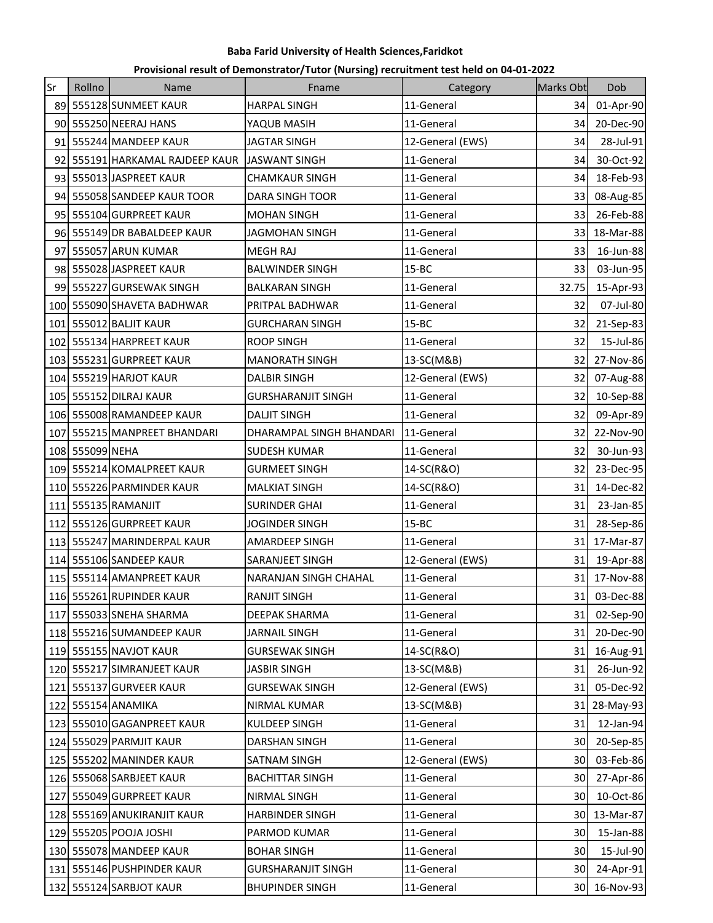| Provisional result of Demonstrator/Tutor (Nursing) recruitment test held on 04-01-2022 |  |  |
|----------------------------------------------------------------------------------------|--|--|
|----------------------------------------------------------------------------------------|--|--|

| Sr  | Rollno          | Name                         | Fname                     | Category         | Marks Obt | Dob          |
|-----|-----------------|------------------------------|---------------------------|------------------|-----------|--------------|
| 89  |                 | 555128 SUNMEET KAUR          | <b>HARPAL SINGH</b>       | 11-General       | 34        | 01-Apr-90    |
|     |                 | 90 555250 NEERAJ HANS        | YAQUB MASIH               | 11-General       | 34        | 20-Dec-90    |
|     |                 | 91 555244 MANDEEP KAUR       | <b>JAGTAR SINGH</b>       | 12-General (EWS) | 34        | 28-Jul-91    |
| 92  |                 | 555191 HARKAMAL RAJDEEP KAUR | <b>JASWANT SINGH</b>      | 11-General       | 34        | 30-Oct-92    |
| 93I |                 | 555013 JASPREET KAUR         | <b>CHAMKAUR SINGH</b>     | 11-General       | 34        | 18-Feb-93    |
| 941 |                 | 555058 SANDEEP KAUR TOOR     | DARA SINGH TOOR           | 11-General       | 33        | 08-Aug-85    |
|     |                 | 95 555104 GURPREET KAUR      | <b>MOHAN SINGH</b>        | 11-General       | 33        | 26-Feb-88    |
|     |                 | 96 555149 DR BABALDEEP KAUR  | <b>JAGMOHAN SINGH</b>     | 11-General       | 33        | 18-Mar-88    |
| 971 |                 | 555057 ARUN KUMAR            | <b>MEGH RAJ</b>           | 11-General       | 33        | 16-Jun-88    |
|     |                 | 98 555028 JASPREET KAUR      | <b>BALWINDER SINGH</b>    | $15 - BC$        | 33        | 03-Jun-95    |
| 99  |                 | 555227 GURSEWAK SINGH        | <b>BALKARAN SINGH</b>     | 11-General       | 32.75     | 15-Apr-93    |
|     |                 | 100 555090 SHAVETA BADHWAR   | PRITPAL BADHWAR           | 11-General       | 32        | 07-Jul-80    |
|     |                 | 101 555012 BALJIT KAUR       | <b>GURCHARAN SINGH</b>    | $15 - BC$        | 32        | 21-Sep-83    |
|     |                 | 102 555134 HARPREET KAUR     | <b>ROOP SINGH</b>         | 11-General       | 32        | 15-Jul-86    |
|     |                 | 103 555231 GURPREET KAUR     | <b>MANORATH SINGH</b>     | 13-SC(M&B)       | 32        | 27-Nov-86    |
|     |                 | 104 555219 HARJOT KAUR       | <b>DALBIR SINGH</b>       | 12-General (EWS) | 32        | 07-Aug-88    |
|     |                 | 105 555152 DILRAJ KAUR       | <b>GURSHARANJIT SINGH</b> | 11-General       | 32        | 10-Sep-88    |
|     |                 | 106 555008 RAMANDEEP KAUR    | <b>DALJIT SINGH</b>       | 11-General       | 32        | 09-Apr-89    |
|     |                 | 107 555215 MANPREET BHANDARI | DHARAMPAL SINGH BHANDARI  | 11-General       | 32        | 22-Nov-90    |
|     | 108 555099 NEHA |                              | <b>SUDESH KUMAR</b>       | 11-General       | 32        | 30-Jun-93    |
|     |                 | 109 555214 KOMALPREET KAUR   | <b>GURMEET SINGH</b>      | 14-SC(R&O)       | 32        | 23-Dec-95    |
|     |                 | 110 555226 PARMINDER KAUR    | <b>MALKIAT SINGH</b>      | 14-SC(R&O)       | 31        | 14-Dec-82    |
|     |                 | 111 555135 RAMANJIT          | <b>SURINDER GHAI</b>      | 11-General       | 31        | 23-Jan-85    |
| 112 |                 | 555126 GURPREET KAUR         | <b>JOGINDER SINGH</b>     | $15 - BC$        | 31        | 28-Sep-86    |
|     |                 | 113 555247 MARINDERPAL KAUR  | AMARDEEP SINGH            | 11-General       | 31        | 17-Mar-87    |
|     |                 | 114 555106 SANDEEP KAUR      | SARANJEET SINGH           | 12-General (EWS) | 31        | 19-Apr-88    |
|     |                 | 115 555114 AMANPREET KAUR    | NARANJAN SINGH CHAHAL     | 11-General       | 31        | 17-Nov-88    |
|     |                 | 116 555261 RUPINDER KAUR     | <b>RANJIT SINGH</b>       | 11-General       |           | 31 03-Dec-88 |
|     |                 | 117 555033 SNEHA SHARMA      | DEEPAK SHARMA             | 11-General       | 31        | 02-Sep-90    |
|     |                 | 118 555216 SUMANDEEP KAUR    | <b>JARNAIL SINGH</b>      | 11-General       | 31        | 20-Dec-90    |
|     |                 | 119 555155 NAVJOT KAUR       | <b>GURSEWAK SINGH</b>     | 14-SC(R&O)       | 31        | 16-Aug-91    |
|     |                 | 120 555217 SIMRANJEET KAUR   | <b>JASBIR SINGH</b>       | 13-SC(M&B)       | 31        | 26-Jun-92    |
|     |                 | 121 555137 GURVEER KAUR      | <b>GURSEWAK SINGH</b>     | 12-General (EWS) | 31        | 05-Dec-92    |
|     |                 | 122 555154 ANAMIKA           | <b>NIRMAL KUMAR</b>       | 13-SC(M&B)       | 31        | 28-May-93    |
|     |                 | 123 555010 GAGANPREET KAUR   | KULDEEP SINGH             | 11-General       | 31        | 12-Jan-94    |
|     |                 | 124 555029 PARMJIT KAUR      | <b>DARSHAN SINGH</b>      | 11-General       | 30        | 20-Sep-85    |
|     |                 | 125 555202 MANINDER KAUR     | SATNAM SINGH              | 12-General (EWS) | 30        | 03-Feb-86    |
|     |                 | 126 555068 SARBJEET KAUR     | <b>BACHITTAR SINGH</b>    | 11-General       | 30        | 27-Apr-86    |
|     |                 | 127 555049 GURPREET KAUR     | NIRMAL SINGH              | 11-General       | 30        | 10-Oct-86    |
|     |                 | 128 555169 ANUKIRANJIT KAUR  | <b>HARBINDER SINGH</b>    | 11-General       | 30        | 13-Mar-87    |
|     |                 | 129 555205 POOJA JOSHI       | PARMOD KUMAR              | 11-General       | 30        | 15-Jan-88    |
|     |                 | 130 555078 MANDEEP KAUR      | <b>BOHAR SINGH</b>        | 11-General       | 30        | 15-Jul-90    |
|     |                 | 131 555146 PUSHPINDER KAUR   | <b>GURSHARANJIT SINGH</b> | 11-General       | 30        | 24-Apr-91    |
|     |                 | 132 555124 SARBJOT KAUR      | <b>BHUPINDER SINGH</b>    | 11-General       | 30        | 16-Nov-93    |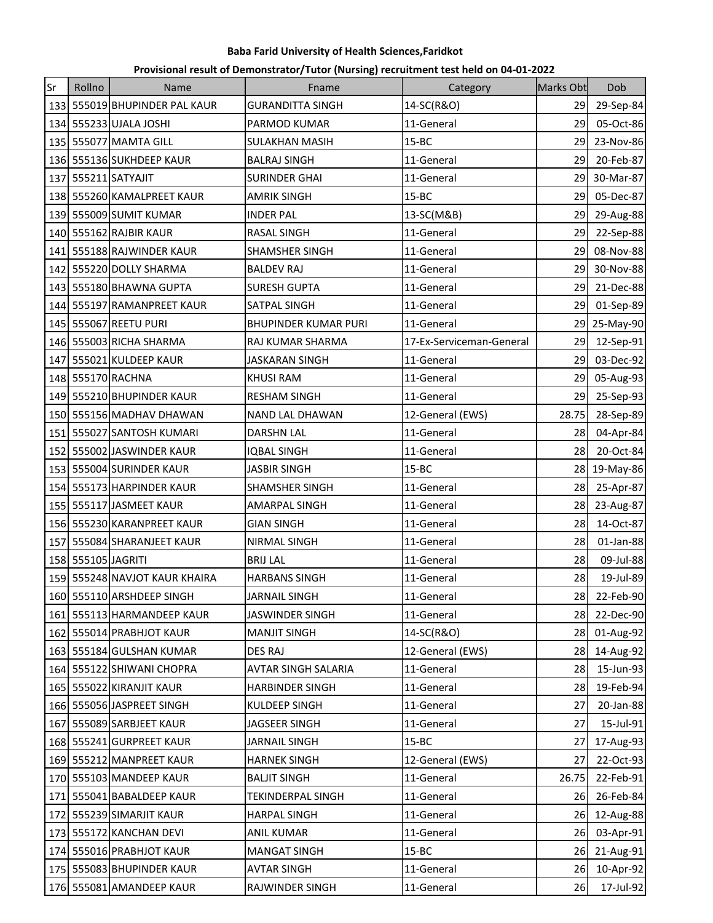| Provisional result of Demonstrator/Tutor (Nursing) recruitment test held on 04-01-2022 |  |  |
|----------------------------------------------------------------------------------------|--|--|
|----------------------------------------------------------------------------------------|--|--|

| Sr  | Rollno             | Name                          | Fname                   | Category                 | <b>Marks Obt</b> | Dob          |
|-----|--------------------|-------------------------------|-------------------------|--------------------------|------------------|--------------|
|     |                    | 133 555019 BHUPINDER PAL KAUR | <b>GURANDITTA SINGH</b> | 14-SC(R&O)               | 29               | 29-Sep-84    |
|     |                    | 134 555233 UJALA JOSHI        | PARMOD KUMAR            | 11-General               | 29               | 05-Oct-86    |
|     |                    | 135 555077 MAMTA GILL         | <b>SULAKHAN MASIH</b>   | $15 - BC$                | 29               | 23-Nov-86    |
| 136 |                    | 555136 SUKHDEEP KAUR          | <b>BALRAJ SINGH</b>     | 11-General               | 29               | 20-Feb-87    |
| 137 |                    | 555211 SATYAJIT               | <b>SURINDER GHAI</b>    | 11-General               | 29               | 30-Mar-87    |
|     |                    | 138 555260 KAMALPREET KAUR    | AMRIK SINGH             | $15 - BC$                | 29               | 05-Dec-87    |
|     |                    | 139 555009 SUMIT KUMAR        | <b>INDER PAL</b>        | 13-SC(M&B)               | 29               | 29-Aug-88    |
|     |                    | 140 555162 RAJBIR KAUR        | <b>RASAL SINGH</b>      | 11-General               | 29               | 22-Sep-88    |
| 141 |                    | 555188 RAJWINDER KAUR         | SHAMSHER SINGH          | 11-General               | 29               | 08-Nov-88    |
| 142 |                    | 555220 DOLLY SHARMA           | <b>BALDEV RAJ</b>       | 11-General               | 29               | 30-Nov-88    |
|     |                    | 143 555180 BHAWNA GUPTA       | SURESH GUPTA            | 11-General               | 29               | 21-Dec-88    |
|     |                    | 144 555197 RAMANPREET KAUR    | SATPAL SINGH            | 11-General               | 29               | 01-Sep-89    |
|     |                    | 145 555067 REETU PURI         | BHUPINDER KUMAR PURI    | 11-General               | 29               | 25-May-90    |
|     |                    | 146 555003 RICHA SHARMA       | RAJ KUMAR SHARMA        | 17-Ex-Serviceman-General | 29               | 12-Sep-91    |
| 147 |                    | 555021 KULDEEP KAUR           | <b>JASKARAN SINGH</b>   | 11-General               | 29               | 03-Dec-92    |
|     |                    | 148 555170 RACHNA             | <b>KHUSI RAM</b>        | 11-General               |                  | 29 05-Aug-93 |
|     |                    | 149 555210 BHUPINDER KAUR     | <b>RESHAM SINGH</b>     | 11-General               | 29               | 25-Sep-93    |
|     |                    | 150 555156 MADHAV DHAWAN      | <b>NAND LAL DHAWAN</b>  | 12-General (EWS)         | 28.75            | 28-Sep-89    |
| 151 |                    | 555027 SANTOSH KUMARI         | DARSHN LAL              | 11-General               | 28               | 04-Apr-84    |
|     |                    | 152 555002 JASWINDER KAUR     | <b>IQBAL SINGH</b>      | 11-General               | 28               | 20-Oct-84    |
|     |                    | 153 555004 SURINDER KAUR      | <b>JASBIR SINGH</b>     | $15 - BC$                |                  | 28 19-May-86 |
|     |                    | 154 555173 HARPINDER KAUR     | SHAMSHER SINGH          | 11-General               | 28               | 25-Apr-87    |
|     |                    | 155 555117 JASMEET KAUR       | AMARPAL SINGH           | 11-General               | 28               | 23-Aug-87    |
|     |                    | 156 555230 KARANPREET KAUR    | <b>GIAN SINGH</b>       | 11-General               | 28               | 14-Oct-87    |
| 157 |                    | 555084 SHARANJEET KAUR        | NIRMAL SINGH            | 11-General               | 28               | $01$ -Jan-88 |
|     | 158 555105 JAGRITI |                               | <b>BRIJ LAL</b>         | 11-General               | 28               | 09-Jul-88    |
|     |                    | 159 555248 NAVJOT KAUR KHAIRA | <b>HARBANS SINGH</b>    | 11-General               | 28               | 19-Jul-89    |
|     |                    | 160 555110 ARSHDEEP SINGH     | <b>JARNAIL SINGH</b>    | 11-General               |                  | 28 22-Feb-90 |
|     |                    | 161 555113 HARMANDEEP KAUR    | JASWINDER SINGH         | 11-General               | 28 L             | 22-Dec-90    |
|     |                    | 162 555014 PRABHJOT KAUR      | <b>MANJIT SINGH</b>     | 14-SC(R&O)               |                  | 28 01-Aug-92 |
|     |                    | 163 555184 GULSHAN KUMAR      | <b>DES RAJ</b>          | 12-General (EWS)         | 28               | 14-Aug-92    |
|     |                    | 164 555122 SHIWANI CHOPRA     | AVTAR SINGH SALARIA     | 11-General               | 28               | 15-Jun-93    |
|     |                    | 165 555022 KIRANJIT KAUR      | <b>HARBINDER SINGH</b>  | 11-General               | 28               | 19-Feb-94    |
|     |                    | 166 555056 JASPREET SINGH     | KULDEEP SINGH           | 11-General               | 27               | 20-Jan-88    |
|     |                    | 167 555089 SARBJEET KAUR      | JAGSEER SINGH           | 11-General               | 27               | 15-Jul-91    |
|     |                    | 168 555241 GURPREET KAUR      | <b>JARNAIL SINGH</b>    | $15 - BC$                | 27               | 17-Aug-93    |
|     |                    | 169 555212 MANPREET KAUR      | <b>HARNEK SINGH</b>     | 12-General (EWS)         | 27               | 22-Oct-93    |
|     |                    | 170 555103 MANDEEP KAUR       | <b>BALJIT SINGH</b>     | 11-General               | 26.75            | 22-Feb-91    |
|     |                    | 171 555041 BABALDEEP KAUR     | TEKINDERPAL SINGH       | 11-General               | 26I              | 26-Feb-84    |
|     |                    | 172 555239 SIMARJIT KAUR      | <b>HARPAL SINGH</b>     | 11-General               | 26               | 12-Aug-88    |
|     |                    | 173 555172 KANCHAN DEVI       | ANIL KUMAR              | 11-General               | 26               | 03-Apr-91    |
|     |                    | 174 555016 PRABHJOT KAUR      | <b>MANGAT SINGH</b>     | $15 - BC$                | 26               | 21-Aug-91    |
|     |                    | 175 555083 BHUPINDER KAUR     | <b>AVTAR SINGH</b>      | 11-General               | 26               | 10-Apr-92    |
|     |                    | 176 555081 AMANDEEP KAUR      | RAJWINDER SINGH         | 11-General               | 26               | 17-Jul-92    |